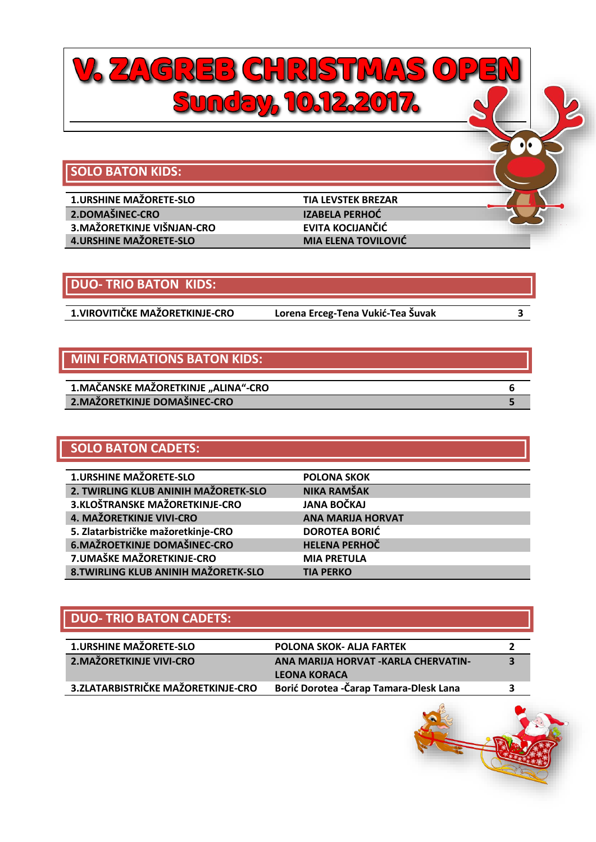

### **DUO- TRIO BATON KIDS:**

**1.VIROVITIČKE MAŽORETKINJE-CRO Lorena Erceg-Tena Vukić-Tea Šuvak 3**

## **MINI FORMATIONS BATON KIDS:**

| 1.MAČANSKE MAŽORETKINJE "ALINA"-CRO |  |
|-------------------------------------|--|
| 2. MAŽORETKINJE DOMAŠINEC-CRO       |  |

## **SOLO BATON CADETS:**

| <b>POLONA SKOK</b>       |
|--------------------------|
| <b>NIKA RAMŠAK</b>       |
| <b>JANA BOČKAJ</b>       |
| <b>ANA MARIJA HORVAT</b> |
| <b>DOROTEA BORIĆ</b>     |
| <b>HELENA PERHOČ</b>     |
| <b>MIA PRETULA</b>       |
| <b>TIA PERKO</b>         |
|                          |

## **DUO- TRIO BATON CADETS:**

| <b>1.URSHINE MAŽORETE-SLO</b>       | <b>POLONA SKOK- ALJA FARTEK</b>         |   |
|-------------------------------------|-----------------------------------------|---|
| <b>2.MAŽORETKINJE VIVI-CRO</b>      | ANA MARIJA HORVAT - KARLA CHERVATIN-    | З |
|                                     | <b>LEONA KORACA</b>                     |   |
| 3. ZLATARBISTRIČKE MAŽORETKINJE-CRO | Borić Dorotea - Čarap Tamara-Dlesk Lana |   |

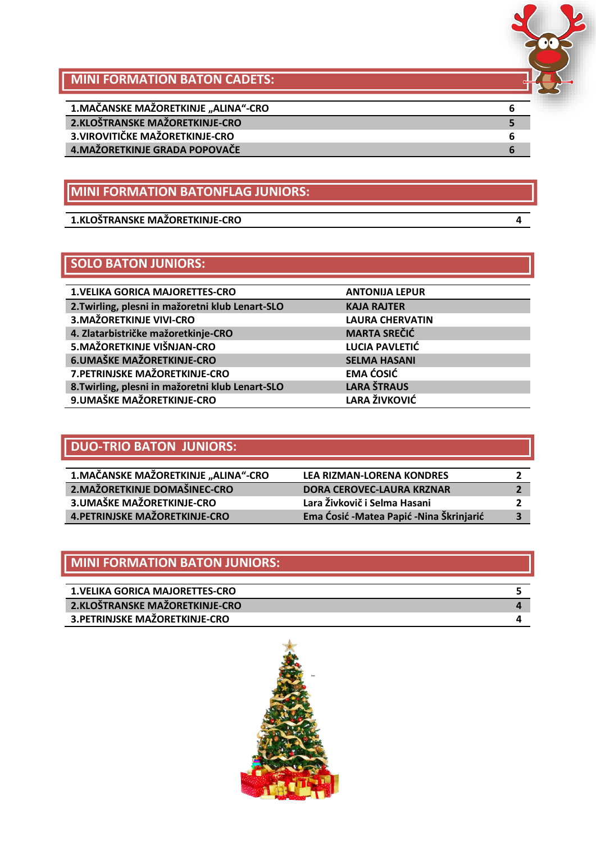

**MINI FORMATION BATON CADETS:**

| 1. MAČANSKE MAŽORETKINJE "ALINA"-CRO |  |
|--------------------------------------|--|
| 2.KLOŠTRANSKE MAŽORETKINJE-CRO       |  |
| 3. VIROVITIČKE MAŽORETKINJE-CRO      |  |
| 4. MAŽORETKINJE GRADA POPOVAČE       |  |
|                                      |  |

## **MINI FORMATION BATONFLAG JUNIORS:**

**1.KLOŠTRANSKE MAŽORETKINJE-CRO 4**

## **SOLO BATON JUNIORS:**

| <b>1. VELIKA GORICA MAJORETTES-CRO</b>           | <b>ANTONIJA LEPUR</b>  |
|--------------------------------------------------|------------------------|
| 2. Twirling, plesni in mažoretni klub Lenart-SLO | <b>KAJA RAJTER</b>     |
| 3. MAŽORETKINJE VIVI-CRO                         | <b>LAURA CHERVATIN</b> |
| 4. Zlatarbistričke mažoretkinje-CRO              | <b>MARTA SREČIĆ</b>    |
| 5. MAŽORETKINJE VIŠNJAN-CRO                      | LUCIA PAVLETIĆ         |
| <b>6.UMAŠKE MAŽORETKINJE-CRO</b>                 | <b>SELMA HASANI</b>    |
| 7. PETRINJSKE MAŽORETKINJE-CRO                   | <b>EMA ĆOSIĆ</b>       |
| 8. Twirling, plesni in mažoretni klub Lenart-SLO | <b>LARA ŠTRAUS</b>     |
| 9. UMAŠKE MAŽORETKINJE-CRO                       | <b>LARA ŽIVKOVIĆ</b>   |

## **DUO-TRIO BATON JUNIORS:**

| 1. MAČANSKE MAŽORETKINJE "ALINA"-CRO | <b>LEA RIZMAN-LORENA KONDRES</b>          |              |
|--------------------------------------|-------------------------------------------|--------------|
| 2. MAŽORETKINJE DOMAŠINEC-CRO        | <b>DORA CEROVEC-LAURA KRZNAR</b>          |              |
| 3. UMAŠKE MAŽORETKINJE-CRO           | Lara Živkovič i Selma Hasani              |              |
| 4. PETRINJSKE MAŽORETKINJE-CRO       | Ema Ćosić - Matea Papić - Nina Škrinjarić | $\mathbf{3}$ |

## **MINI FORMATION BATON JUNIORS:**

| <b>1.VELIKA GORICA MAJORETTES-CRO</b> |  |
|---------------------------------------|--|
| 2.KLOŠTRANSKE MAŽORETKINJE-CRO        |  |
| 3. PETRINJSKE MAŽORETKINJE-CRO        |  |

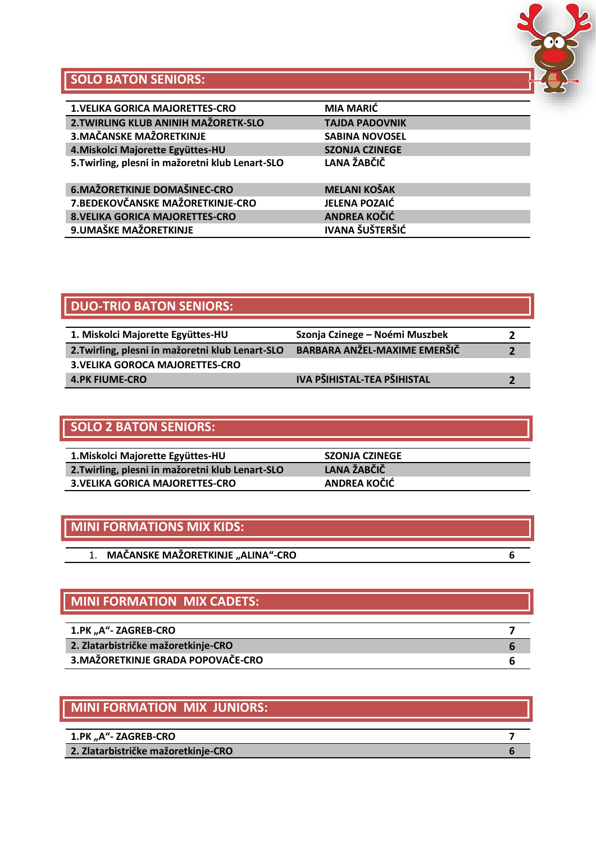

## **SOLO BATON SENIORS:**

| <b>1. VELIKA GORICA MAJORETTES-CRO</b>           | <b>MIA MARIĆ</b>       |
|--------------------------------------------------|------------------------|
| 2. TWIRLING KLUB ANINIH MAŽORETK-SLO             | <b>TAJDA PADOVNIK</b>  |
| 3. MAČANSKE MAŽORETKINJE                         | <b>SABINA NOVOSEL</b>  |
| 4. Miskolci Majorette Együttes-HU                | <b>SZONJA CZINEGE</b>  |
| 5. Twirling, plesni in mažoretni klub Lenart-SLO | LANA ŽABČIČ            |
|                                                  |                        |
| 6. MAŽORETKINJE DOMAŠINEC-CRO                    | <b>MELANI KOŠAK</b>    |
| 7. BEDEKOVČANSKE MAŽORETKINJE-CRO                | <b>JELENA POZAIĆ</b>   |
| <b>8. VELIKA GORICA MAJORETTES-CRO</b>           | <b>ANDREA KOČIĆ</b>    |
| 9. UMAŠKE MAŽORETKINJE                           | <b>IVANA ŠUŠTERŠIĆ</b> |
|                                                  |                        |

## **DUO-TRIO BATON SENIORS:**

| 1. Miskolci Majorette Együttes-HU                | Szonja Czinege – Noémi Muszbek      |  |
|--------------------------------------------------|-------------------------------------|--|
| 2. Twirling, plesni in mažoretni klub Lenart-SLO | <b>BARBARA ANŽEL-MAXIME EMERŠIČ</b> |  |
| <b>3. VELIKA GOROCA MAJORETTES-CRO</b>           |                                     |  |
| <b>4.PK FIUME-CRO</b>                            | IVA PŠIHISTAL-TEA PŠIHISTAL         |  |

## **SOLO 2 BATON SENIORS:**

| 1. Miskolci Majorette Együttes-HU                | <b>SZONJA CZINEGE</b> |
|--------------------------------------------------|-----------------------|
| 2. Twirling, plesni in mažoretni klub Lenart-SLO | LANA ŽABČIČ           |
| <b>3. VELIKA GORICA MAJORETTES-CRO</b>           | ANDREA KOČIĆ          |

## **MINI FORMATIONS MIX KIDS:**

| <b>MAČANSKE MAŽORETKINJE "ALINA"-CRO</b> |
|------------------------------------------|
|------------------------------------------|

## **MINI FORMATION MIX CADETS:**

| 1.PK "A"- ZAGREB-CRO                |  |
|-------------------------------------|--|
| 2. Zlatarbistričke mažoretkinje-CRO |  |
| 3. MAŽORETKINJE GRADA POPOVAČE-CRO  |  |

## **MINI FORMATION MIX JUNIORS:**

| 1.PK "A"- ZAGREB-CRO                |  |
|-------------------------------------|--|
| 2. Zlatarbistričke mažoretkinje-CRO |  |
|                                     |  |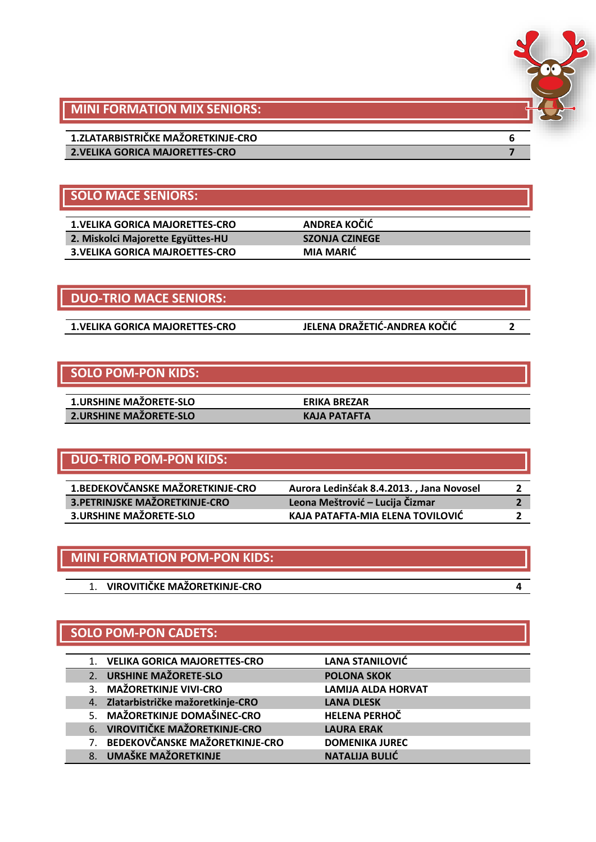

## **MINI FORMATION MIX SENIORS:**

**1.ZLATARBISTRIČKE MAŽORETKINJE-CRO 6 2.VELIKA GORICA MAJORETTES-CRO 7**

## **SOLO MACE SENIORS:**

| <b>1.VELIKA GORICA MAJORETTES-CRO</b>  |
|----------------------------------------|
| 2. Miskolci Majorette Együttes-HU      |
| <b>3. VELIKA GORICA MAJROETTES-CRO</b> |

**DUO-TRIO MACE SENIORS:**

**1.VELIKA GORICA MAJORETTES-CRO JELENA DRAŽETIĆ-ANDREA KOČIĆ 2**

**1.VELIKA GORICA MAJORETTES-CRO ANDREA KOČIĆ 2. Miskolci Majorette Együttes-HU SZONJA CZINEGE 3.VELIKA GORICA MAJROETTES-CRO MIA MARIĆ**

## **SOLO POM-PON KIDS:**

| <b>1.URSHINE MAZORETE-SLO</b> | <b>ERIKA BREZAR</b> |
|-------------------------------|---------------------|
| 2.URSHINE MAŽORETE-SLO        | <b>KAJA PATAFTA</b> |

## **DUO-TRIO POM-PON KIDS:**

| 1. BEDEKOVČANSKE MAŽORETKINJE-CRO | Aurora Ledinšćak 8.4.2013., Jana Novosel |  |
|-----------------------------------|------------------------------------------|--|
| 3. PETRINJSKE MAŽORETKINJE-CRO    | Leona Meštrović – Lucija Čizmar          |  |
| <b>3.URSHINE MAŽORETE-SLO</b>     | KAJA PATAFTA-MIA ELENA TOVILOVIĆ         |  |

| MINI FORMATION POM-PON KIDS: |  |
|------------------------------|--|
|                              |  |
| VIROVITIČKE MAŽORETKINJE-CRO |  |

## **SOLO POM-PON CADETS:**

|    | 1. VELIKA GORICA MAJORETTES-CRO     | <b>LANA STANILOVIĆ</b>    |
|----|-------------------------------------|---------------------------|
|    | 2. URSHINE MAŽORETE-SLO             | <b>POLONA SKOK</b>        |
|    | 3. MAŽORETKINJE VIVI-CRO            | <b>LAMIJA ALDA HORVAT</b> |
|    | 4. Zlatarbistričke mažoretkinje-CRO | <b>LANA DLESK</b>         |
|    | 5. MAŽORETKINJE DOMAŠINEC-CRO       | <b>HELENA PERHOČ</b>      |
|    | 6. VIROVITIČKE MAŽORETKINJE-CRO     | <b>LAURA ERAK</b>         |
|    | 7. BEDEKOVČANSKE MAŽORETKINJE-CRO   | <b>DOMENIKA JUREC</b>     |
| 8. | UMAŠKE MAŽORETKINJE                 | <b>NATALIJA BULIĆ</b>     |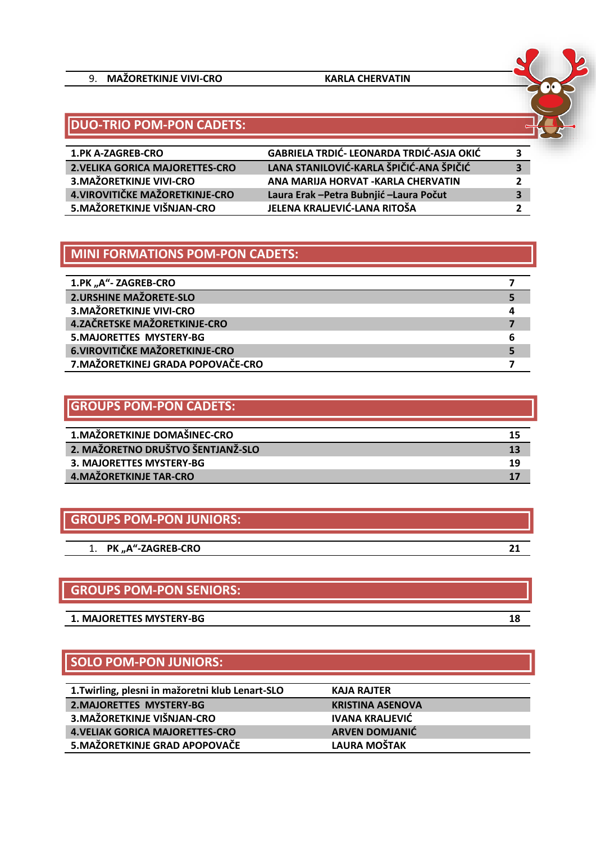#### 9. **MAŽORETKINJE VIVI-CRO KARLA CHERVATIN**



## **DUO-TRIO POM-PON CADETS:**

| <b>1.PK A-ZAGREB-CRO</b>        | <b>GABRIELA TRDIĆ- LEONARDA TRDIĆ-ASJA OKIĆ</b> | 3 |
|---------------------------------|-------------------------------------------------|---|
| 2. VELIKA GORICA MAJORETTES-CRO | LANA STANILOVIĆ-KARLA ŠPIČIĆ-ANA ŠPIČIĆ         | 3 |
| 3. MAŽORETKINJE VIVI-CRO        | ANA MARIJA HORVAT - KARLA CHERVATIN             |   |
| 4. VIROVITIČKE MAŽORETKINJE-CRO | Laura Erak - Petra Bubnjić - Laura Počut        | 3 |
| 5. MAŽORETKINJE VIŠNJAN-CRO     | JELENA KRALJEVIĆ-LANA RITOŠA                    |   |

#### **MINI FORMATIONS POM-PON CADETS:**

| 1.PK "A"- ZAGREB-CRO                   |  |
|----------------------------------------|--|
| <b>2.URSHINE MAŽORETE-SLO</b>          |  |
| <b>3.MAŽORETKINJE VIVI-CRO</b>         |  |
| 4.ZAČRETSKE MAŽORETKINJE-CRO           |  |
| <b>5.MAJORETTES MYSTERY-BG</b><br>6    |  |
| <b>6. VIROVITIČKE MAŽORETKINJE-CRO</b> |  |
| 7. MAŽORETKINEJ GRADA POPOVAČE-CRO     |  |

| <b>GROUPS POM-PON CADETS:</b>     |    |
|-----------------------------------|----|
| 1. MAŽORETKINJE DOMAŠINEC-CRO     | 15 |
| 2. MAŽORETNO DRUŠTVO ŠENTJANŽ-SLO | 13 |
| 3. MAJORETTES MYSTERY-BG          | 19 |
| 4. MAŽORETKINJE TAR-CRO           |    |

## **GROUPS POM-PON JUNIORS:**

|  | 1. PK "A"-ZAGREB-CRO |  |
|--|----------------------|--|
|--|----------------------|--|

#### **GROUPS POM-PON SENIORS:**

**1. MAJORETTES MYSTERY-BG 18**

## **SOLO POM-PON JUNIORS:**

| 1. Twirling, plesni in mažoretni klub Lenart-SLO | KAJA RAJTER             |
|--------------------------------------------------|-------------------------|
| <b>2.MAJORETTES MYSTERY-BG</b>                   | <b>KRISTINA ASENOVA</b> |
| 3. MAŽORETKINJE VIŠNJAN-CRO                      | <b>IVANA KRALJEVIĆ</b>  |
| <b>4. VELIAK GORICA MAJORETTES-CRO</b>           | <b>ARVEN DOMJANIĆ</b>   |
| 5. MAŽORETKINJE GRAD APOPOVAČE                   | <b>LAURA MOŠTAK</b>     |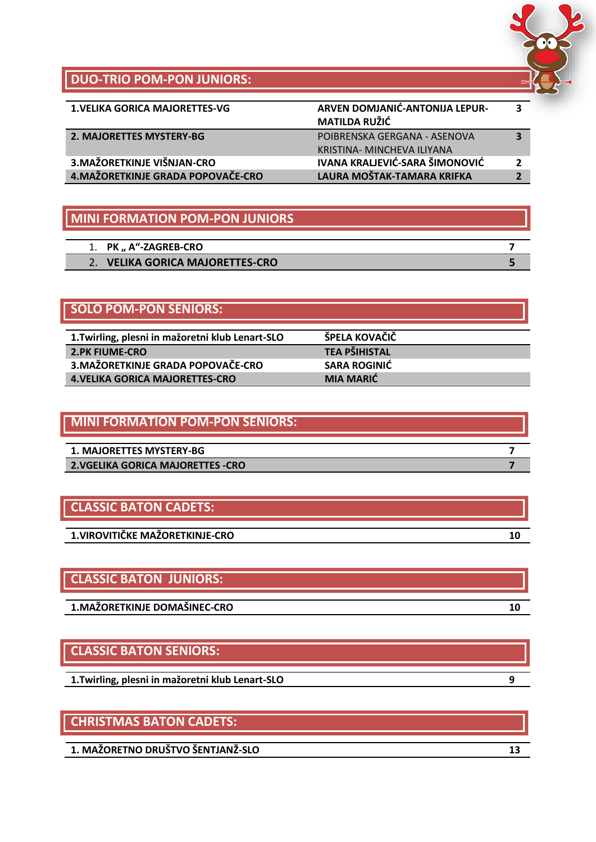

## **DUO-TRIO POM-PON JUNIORS:**

| <b>1. VELIKA GORICA MAJORETTES-VG</b> | ARVEN DOMJANIĆ-ANTONIJA LEPUR-<br><b>MATILDA RUŽIĆ</b>     |  |
|---------------------------------------|------------------------------------------------------------|--|
| 2. MAJORETTES MYSTERY-BG              | POIBRENSKA GERGANA - ASENOVA<br>KRISTINA- MINCHEVA ILIYANA |  |
| 3. MAŽORETKINJE VIŠNJAN-CRO           | <b>IVANA KRALJEVIĆ-SARA ŠIMONOVIĆ</b>                      |  |
| 4. MAŽORETKINJE GRADA POPOVAČE-CRO    | LAURA MOŠTAK-TAMARA KRIFKA                                 |  |

#### **MINI FORMATION POM-PON JUNIORS**

| 1. PK, A"-ZAGREB-CRO                |  |
|-------------------------------------|--|
| <b>VELIKA GORICA MAJORETTES-CRO</b> |  |
|                                     |  |

## **SOLO POM-PON SENIORS:**

Ī

| 1. Twirling, plesni in mažoretni klub Lenart-SLO | ŠPELA KOVAČIČ        |
|--------------------------------------------------|----------------------|
| <b>2.PK FIUME-CRO</b>                            | <b>TEA PŠIHISTAL</b> |
| 3. MAŽORETKINJE GRADA POPOVAČE-CRO               | <b>SARA ROGINIĆ</b>  |
| <b>4. VELIKA GORICA MAJORETTES-CRO</b>           | <b>MIA MARIĆ</b>     |

| <b>MINI FORMATION POM-PON SENIORS:</b> |  |
|----------------------------------------|--|
| 1. MAJORETTES MYSTERY-BG               |  |
| 2. VGELIKA GORICA MAJORETTES -CRO      |  |

## **CLASSIC BATON CADETS:**

**1.VIROVITIČKE MAŽORETKINJE-CRO 10**

## **CLASSIC BATON JUNIORS:**

**1.MAŽORETKINJE DOMAŠINEC-CRO 10**

## **CLASSIC BATON SENIORS:**

**1.Twirling, plesni in mažoretni klub Lenart-SLO 9**

## **CHRISTMAS BATON CADETS:**

**1. MAŽORETNO DRUŠTVO ŠENTJANŽ-SLO 13**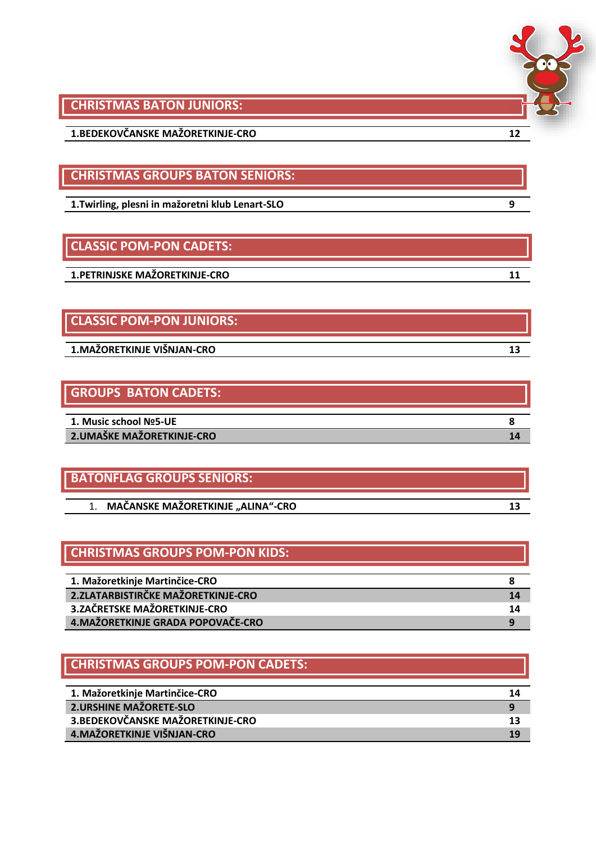

**CHRISTMAS BATON JUNIORS:**

**1.BEDEKOVČANSKE MAŽORETKINJE-CRO 12**

**CHRISTMAS GROUPS BATON SENIORS:**

**1.Twirling, plesni in mažoretni klub Lenart-SLO 9**

## **CLASSIC POM-PON CADETS:**

**1.PETRINJSKE MAŽORETKINJE-CRO 11**

## **CLASSIC POM-PON JUNIORS:**

**1.MAŽORETKINJE VIŠNJAN-CRO 13**

## **GROUPS BATON CADETS:**

| 1. Music school Nº5-UE     |  |
|----------------------------|--|
|                            |  |
| 2. UMAŠKE MAŽORETKINJE-CRO |  |

# **BATONFLAG GROUPS SENIORS:** 1. MAČANSKE MAŽORETKINJE "ALINA"-CRO

## **CHRISTMAS GROUPS POM-PON KIDS:**

| 1. Mažoretkinje Martinčice-CRO      |    |
|-------------------------------------|----|
| 2. ZLATARBISTIRČKE MAŽORETKINJE-CRO | 14 |
| 3.ZAČRETSKE MAŽORETKINJE-CRO        | 14 |
| 4. MAŽORETKINJE GRADA POPOVAČE-CRO  |    |

## **CHRISTMAS GROUPS POM-PON CADETS:**

| 1. Mažoretkinje Martinčice-CRO    | 14 |
|-----------------------------------|----|
| 2. URSHINE MAŽORETE-SLO           |    |
| 3. BEDEKOVČANSKE MAŽORETKINJE-CRO | 13 |
| 4. MAŽORETKINJE VIŠNJAN-CRO       | 19 |